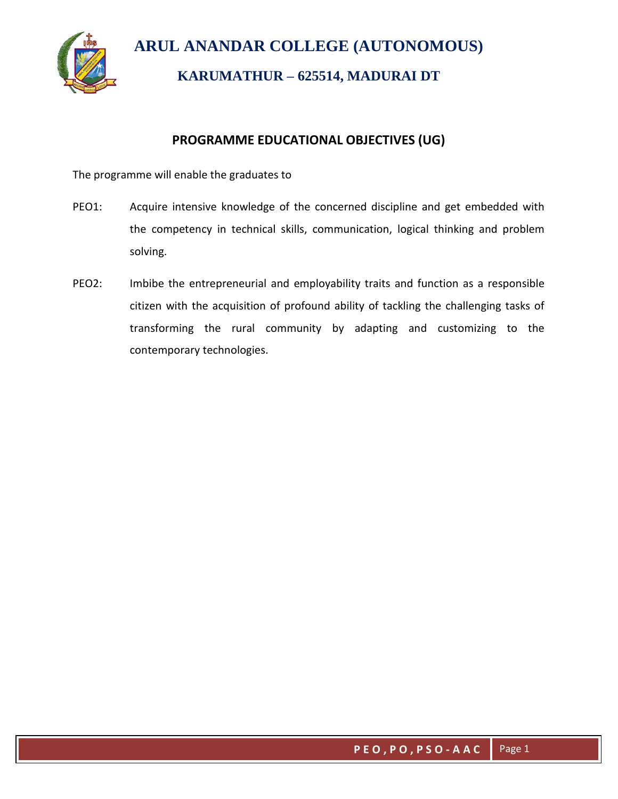

## **PROGRAMME EDUCATIONAL OBJECTIVES (UG)**

The programme will enable the graduates to

- PEO1: Acquire intensive knowledge of the concerned discipline and get embedded with the competency in technical skills, communication, logical thinking and problem solving.
- PEO2: Imbibe the entrepreneurial and employability traits and function as a responsible citizen with the acquisition of profound ability of tackling the challenging tasks of transforming the rural community by adapting and customizing to the contemporary technologies.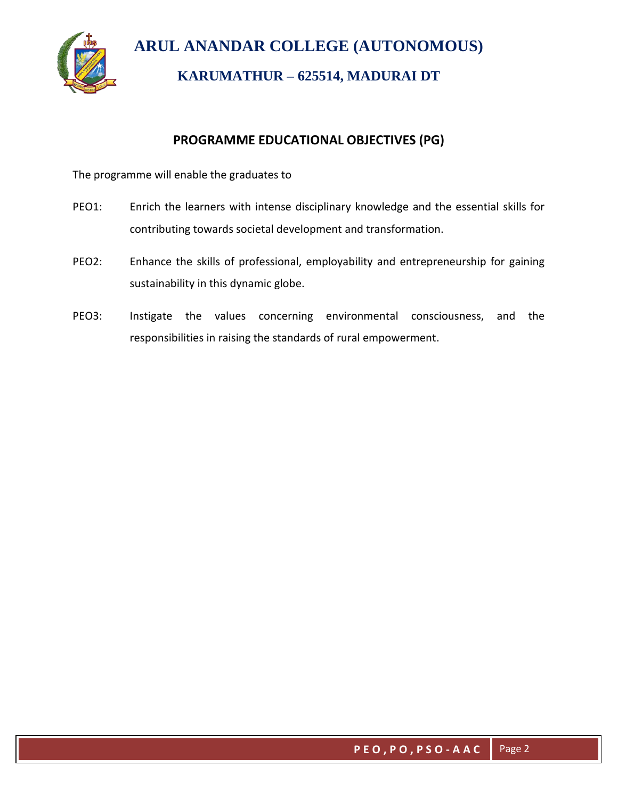

## **PROGRAMME EDUCATIONAL OBJECTIVES (PG)**

The programme will enable the graduates to

- PEO1: Enrich the learners with intense disciplinary knowledge and the essential skills for contributing towards societal development and transformation.
- PEO2: Enhance the skills of professional, employability and entrepreneurship for gaining sustainability in this dynamic globe.
- PEO3: Instigate the values concerning environmental consciousness, and the responsibilities in raising the standards of rural empowerment.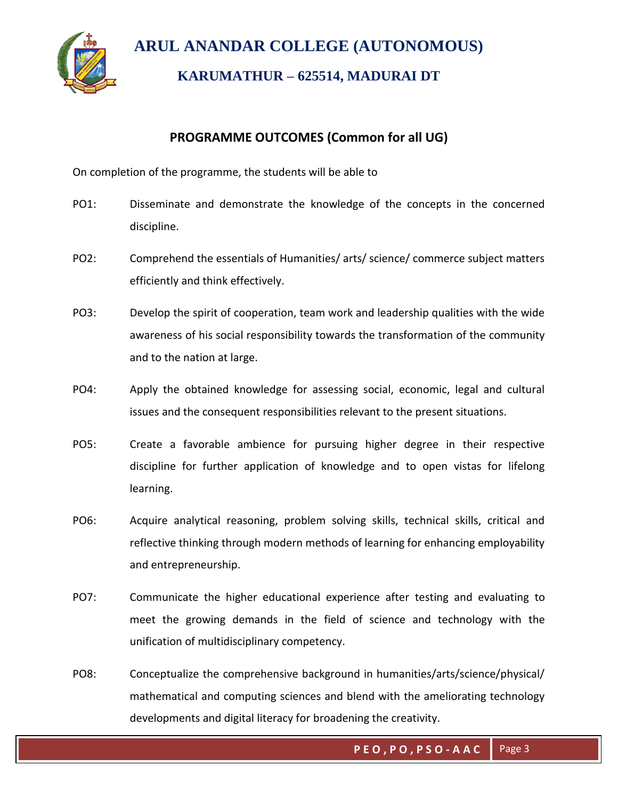

## **PROGRAMME OUTCOMES (Common for all UG)**

On completion of the programme, the students will be able to

- PO1: Disseminate and demonstrate the knowledge of the concepts in the concerned discipline.
- PO2: Comprehend the essentials of Humanities/ arts/ science/ commerce subject matters efficiently and think effectively.
- PO3: Develop the spirit of cooperation, team work and leadership qualities with the wide awareness of his social responsibility towards the transformation of the community and to the nation at large.
- PO4: Apply the obtained knowledge for assessing social, economic, legal and cultural issues and the consequent responsibilities relevant to the present situations.
- PO5: Create a favorable ambience for pursuing higher degree in their respective discipline for further application of knowledge and to open vistas for lifelong learning.
- PO6: Acquire analytical reasoning, problem solving skills, technical skills, critical and reflective thinking through modern methods of learning for enhancing employability and entrepreneurship.
- PO7: Communicate the higher educational experience after testing and evaluating to meet the growing demands in the field of science and technology with the unification of multidisciplinary competency.
- PO8: Conceptualize the comprehensive background in humanities/arts/science/physical/ mathematical and computing sciences and blend with the ameliorating technology developments and digital literacy for broadening the creativity.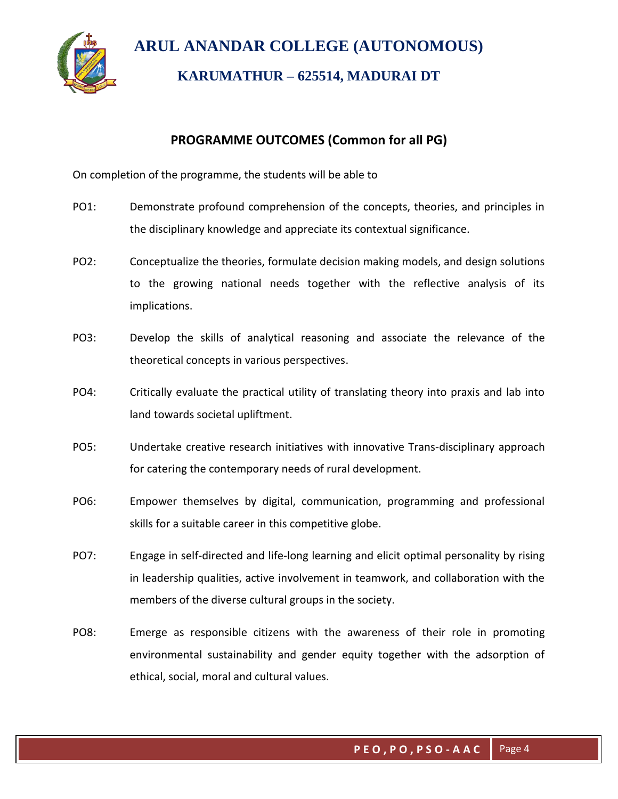

## **PROGRAMME OUTCOMES (Common for all PG)**

On completion of the programme, the students will be able to

- PO1: Demonstrate profound comprehension of the concepts, theories, and principles in the disciplinary knowledge and appreciate its contextual significance.
- PO2: Conceptualize the theories, formulate decision making models, and design solutions to the growing national needs together with the reflective analysis of its implications.
- PO3: Develop the skills of analytical reasoning and associate the relevance of the theoretical concepts in various perspectives.
- PO4: Critically evaluate the practical utility of translating theory into praxis and lab into land towards societal upliftment.
- PO5: Undertake creative research initiatives with innovative Trans-disciplinary approach for catering the contemporary needs of rural development.
- PO6: Empower themselves by digital, communication, programming and professional skills for a suitable career in this competitive globe.
- PO7: Engage in self-directed and life-long learning and elicit optimal personality by rising in leadership qualities, active involvement in teamwork, and collaboration with the members of the diverse cultural groups in the society.
- PO8: Emerge as responsible citizens with the awareness of their role in promoting environmental sustainability and gender equity together with the adsorption of ethical, social, moral and cultural values.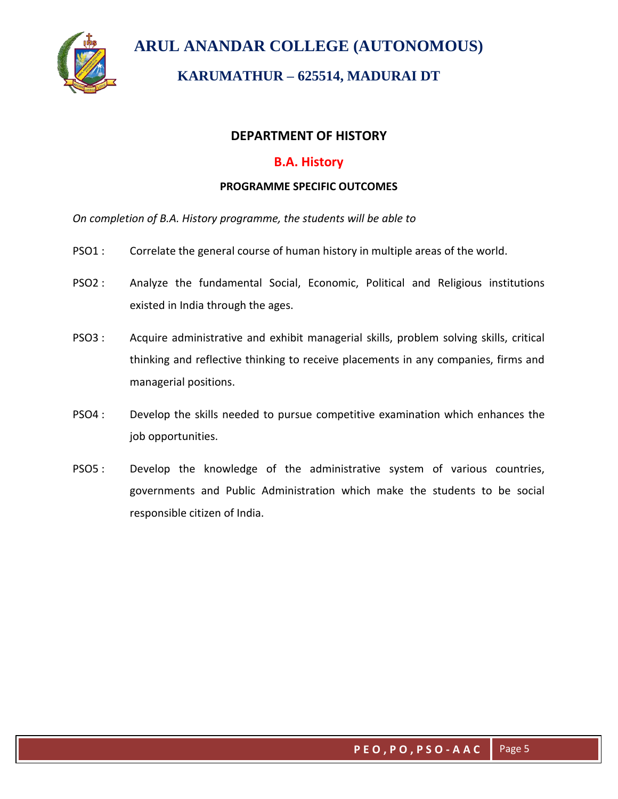

# **KARUMATHUR – 625514, MADURAI DT**

### **DEPARTMENT OF HISTORY**

### **B.A. History**

#### **PROGRAMME SPECIFIC OUTCOMES**

*On completion of B.A. History programme, the students will be able to*

- PSO1 : Correlate the general course of human history in multiple areas of the world.
- PSO2 : Analyze the fundamental Social, Economic, Political and Religious institutions existed in India through the ages.
- PSO3 : Acquire administrative and exhibit managerial skills, problem solving skills, critical thinking and reflective thinking to receive placements in any companies, firms and managerial positions.
- PSO4 : Develop the skills needed to pursue competitive examination which enhances the job opportunities.
- PSO5 : Develop the knowledge of the administrative system of various countries, governments and Public Administration which make the students to be social responsible citizen of India.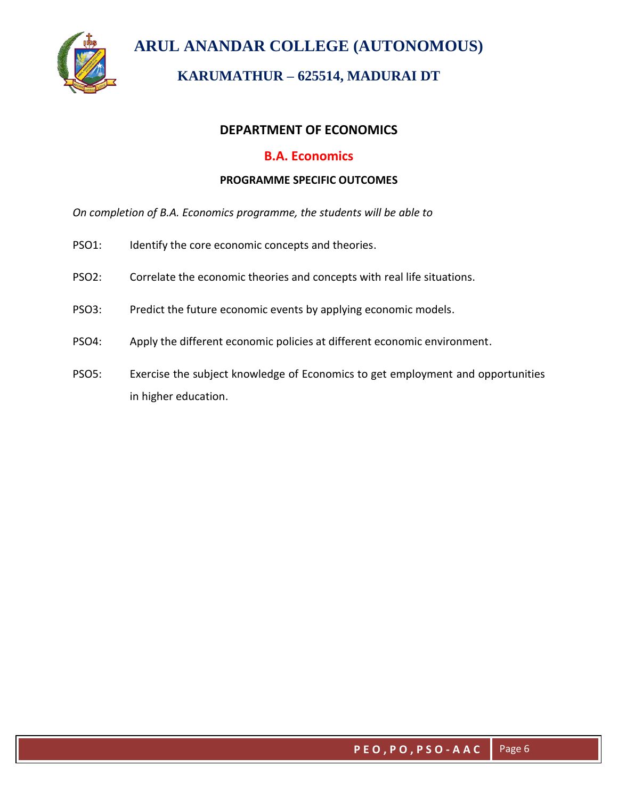

# **KARUMATHUR – 625514, MADURAI DT**

## **DEPARTMENT OF ECONOMICS**

### **B.A. Economics**

#### **PROGRAMME SPECIFIC OUTCOMES**

*On completion of B.A. Economics programme, the students will be able to*

- PSO1: Identify the core economic concepts and theories.
- PSO2: Correlate the economic theories and concepts with real life situations.
- PSO3: Predict the future economic events by applying economic models.
- PSO4: Apply the different economic policies at different economic environment.
- PSO5: Exercise the subject knowledge of Economics to get employment and opportunities in higher education.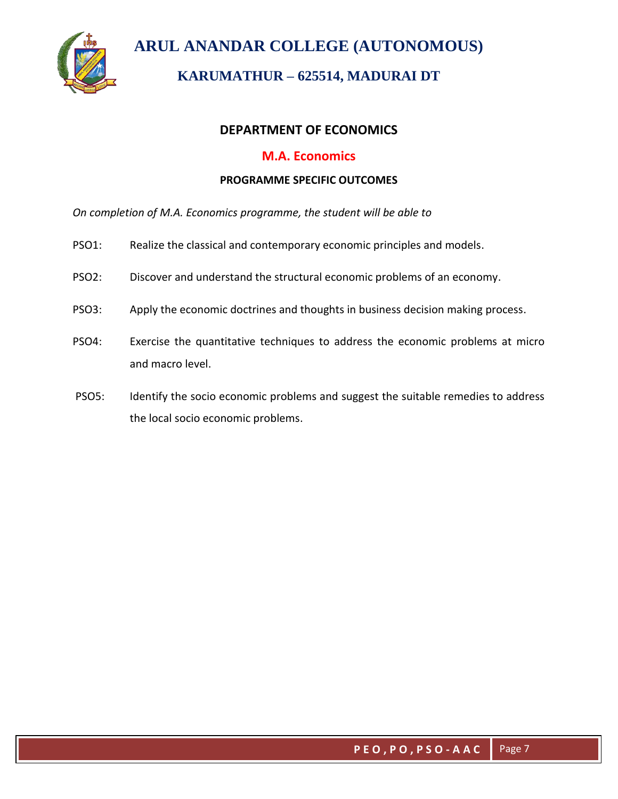

# **KARUMATHUR – 625514, MADURAI DT**

### **DEPARTMENT OF ECONOMICS**

### **M.A. Economics**

#### **PROGRAMME SPECIFIC OUTCOMES**

*On completion of M.A. Economics programme, the student will be able to* 

- PSO1: Realize the classical and contemporary economic principles and models.
- PSO2: Discover and understand the structural economic problems of an economy.
- PSO3: Apply the economic doctrines and thoughts in business decision making process.
- PSO4: Exercise the quantitative techniques to address the economic problems at micro and macro level.
- PSO5: Identify the socio economic problems and suggest the suitable remedies to address the local socio economic problems.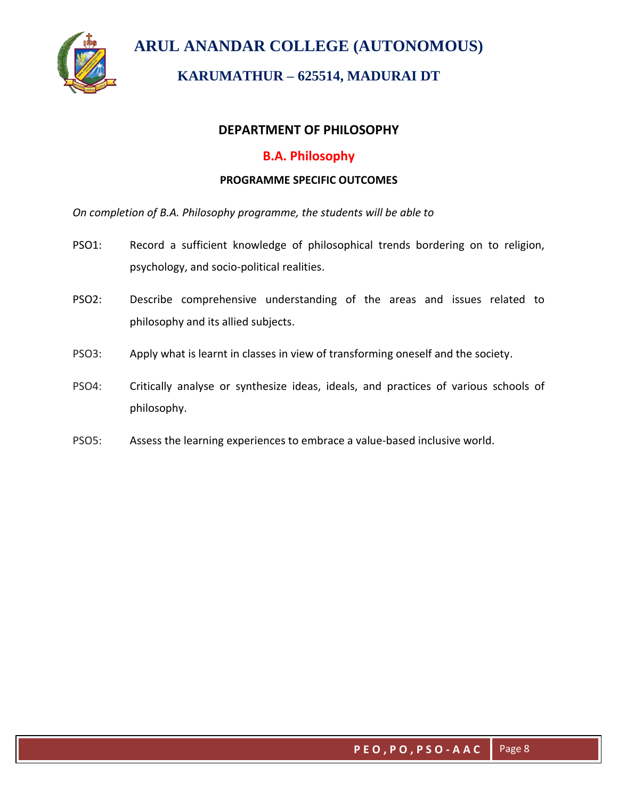

# **KARUMATHUR – 625514, MADURAI DT**

### **DEPARTMENT OF PHILOSOPHY**

## **B.A. Philosophy**

#### **PROGRAMME SPECIFIC OUTCOMES**

*On completion of B.A. Philosophy programme, the students will be able to* 

- PSO1: Record a sufficient knowledge of philosophical trends bordering on to religion, psychology, and socio-political realities.
- PSO2: Describe comprehensive understanding of the areas and issues related to philosophy and its allied subjects.
- PSO3: Apply what is learnt in classes in view of transforming oneself and the society.
- PSO4: Critically analyse or synthesize ideas, ideals, and practices of various schools of philosophy.
- PSO5: Assess the learning experiences to embrace a value-based inclusive world.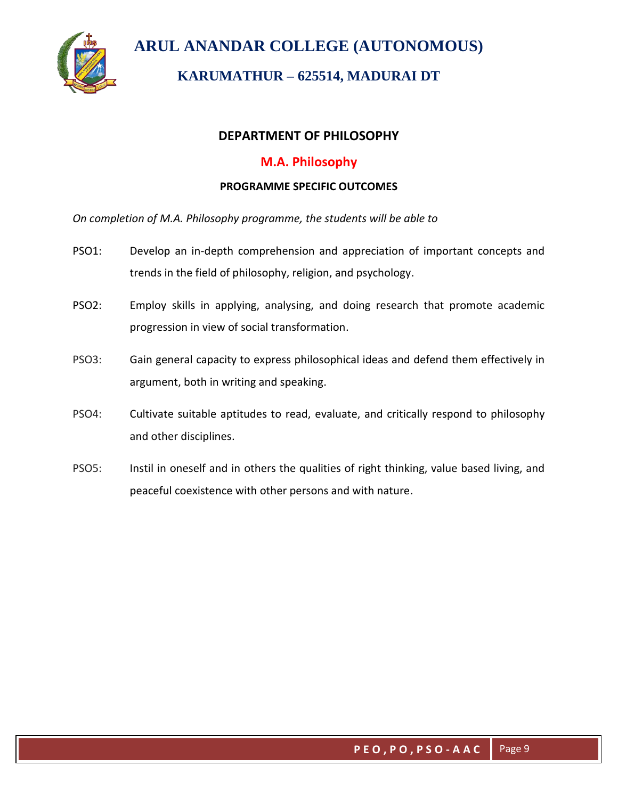

# **KARUMATHUR – 625514, MADURAI DT**

### **DEPARTMENT OF PHILOSOPHY**

### **M.A. Philosophy**

#### **PROGRAMME SPECIFIC OUTCOMES**

*On completion of M.A. Philosophy programme, the students will be able to* 

- PSO1: Develop an in-depth comprehension and appreciation of important concepts and trends in the field of philosophy, religion, and psychology.
- PSO2: Employ skills in applying, analysing, and doing research that promote academic progression in view of social transformation.
- PSO3: Gain general capacity to express philosophical ideas and defend them effectively in argument, both in writing and speaking.
- PSO4: Cultivate suitable aptitudes to read, evaluate, and critically respond to philosophy and other disciplines.
- PSO5: Instil in oneself and in others the qualities of right thinking, value based living, and peaceful coexistence with other persons and with nature.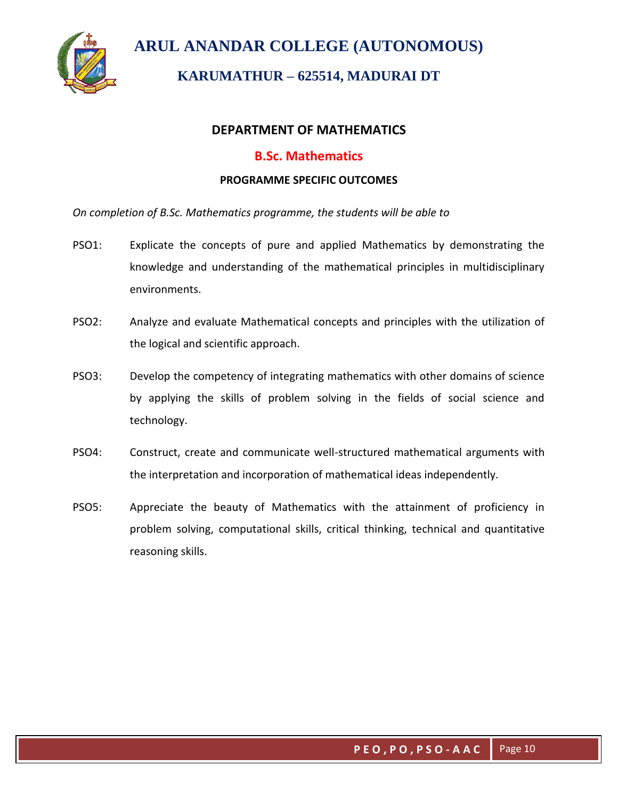

# **KARUMATHUR – 625514, MADURAI DT**

### **DEPARTMENT OF MATHEMATICS**

### **B.Sc. Mathematics**

#### **PROGRAMME SPECIFIC OUTCOMES**

*On completion of B.Sc. Mathematics programme, the students will be able to* 

- PSO1: Explicate the concepts of pure and applied Mathematics by demonstrating the knowledge and understanding of the mathematical principles in multidisciplinary environments.
- PSO2: Analyze and evaluate Mathematical concepts and principles with the utilization of the logical and scientific approach.
- PSO3: Develop the competency of integrating mathematics with other domains of science by applying the skills of problem solving in the fields of social science and technology.
- PSO4: Construct, create and communicate well-structured mathematical arguments with the interpretation and incorporation of mathematical ideas independently.
- PSO5: Appreciate the beauty of Mathematics with the attainment of proficiency in problem solving, computational skills, critical thinking, technical and quantitative reasoning skills.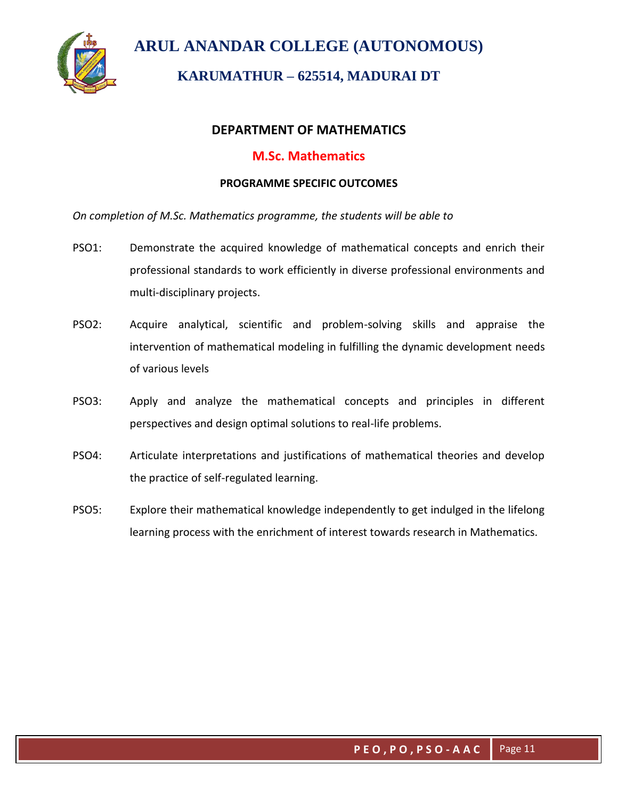

# **KARUMATHUR – 625514, MADURAI DT**

### **DEPARTMENT OF MATHEMATICS**

### **M.Sc. Mathematics**

#### **PROGRAMME SPECIFIC OUTCOMES**

*On completion of M.Sc. Mathematics programme, the students will be able to* 

- PSO1: Demonstrate the acquired knowledge of mathematical concepts and enrich their professional standards to work efficiently in diverse professional environments and multi-disciplinary projects.
- PSO2: Acquire analytical, scientific and problem-solving skills and appraise the intervention of mathematical modeling in fulfilling the dynamic development needs of various levels
- PSO3: Apply and analyze the mathematical concepts and principles in different perspectives and design optimal solutions to real-life problems.
- PSO4: Articulate interpretations and justifications of mathematical theories and develop the practice of self-regulated learning.
- PSO5: Explore their mathematical knowledge independently to get indulged in the lifelong learning process with the enrichment of interest towards research in Mathematics.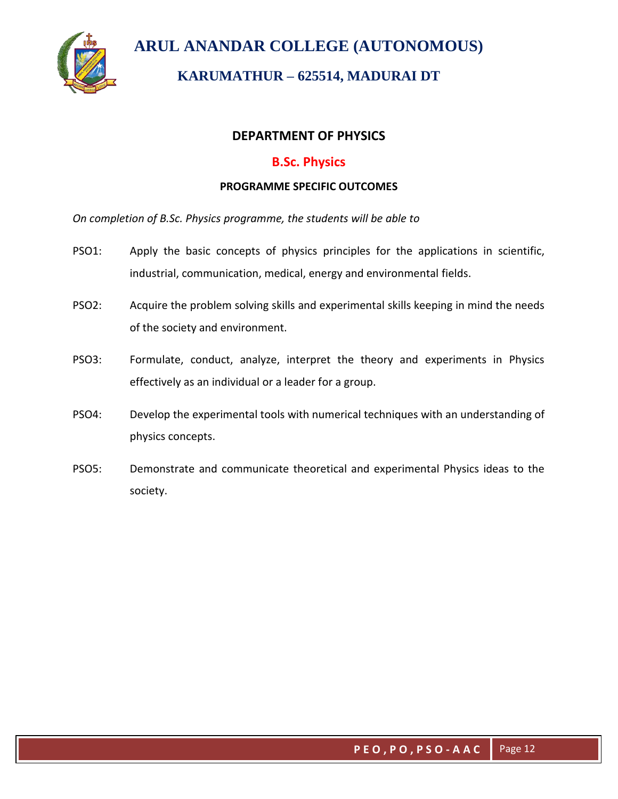

# **KARUMATHUR – 625514, MADURAI DT**

### **DEPARTMENT OF PHYSICS**

### **B.Sc. Physics**

#### **PROGRAMME SPECIFIC OUTCOMES**

*On completion of B.Sc. Physics programme, the students will be able to* 

- PSO1: Apply the basic concepts of physics principles for the applications in scientific, industrial, communication, medical, energy and environmental fields.
- PSO2: Acquire the problem solving skills and experimental skills keeping in mind the needs of the society and environment.
- PSO3: Formulate, conduct, analyze, interpret the theory and experiments in Physics effectively as an individual or a leader for a group.
- PSO4: Develop the experimental tools with numerical techniques with an understanding of physics concepts.
- PSO5: Demonstrate and communicate theoretical and experimental Physics ideas to the society.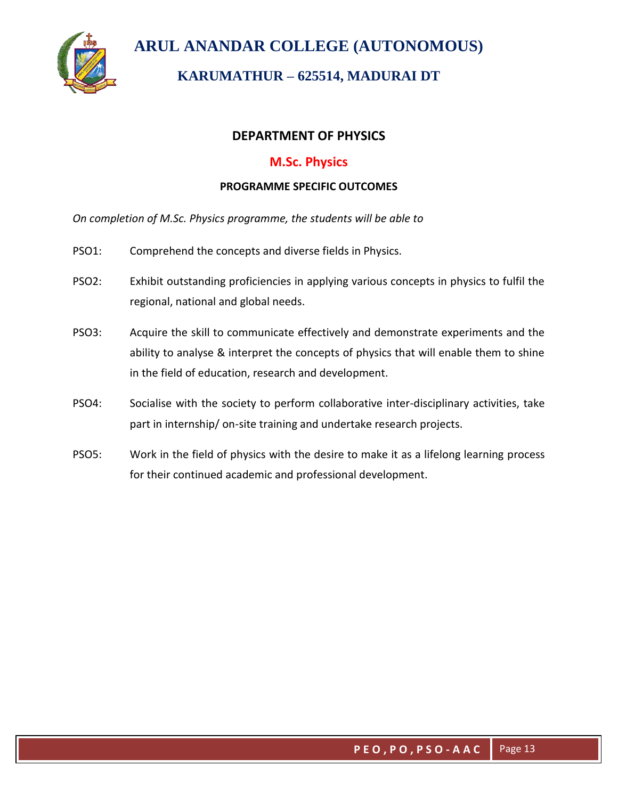

# **KARUMATHUR – 625514, MADURAI DT**

### **DEPARTMENT OF PHYSICS**

### **M.Sc. Physics**

#### **PROGRAMME SPECIFIC OUTCOMES**

*On completion of M.Sc. Physics programme, the students will be able to*

- PSO1: Comprehend the concepts and diverse fields in Physics.
- PSO2: Exhibit outstanding proficiencies in applying various concepts in physics to fulfil the regional, national and global needs.
- PSO3: Acquire the skill to communicate effectively and demonstrate experiments and the ability to analyse & interpret the concepts of physics that will enable them to shine in the field of education, research and development.
- PSO4: Socialise with the society to perform collaborative inter-disciplinary activities, take part in internship/ on-site training and undertake research projects.
- PSO5: Work in the field of physics with the desire to make it as a lifelong learning process for their continued academic and professional development.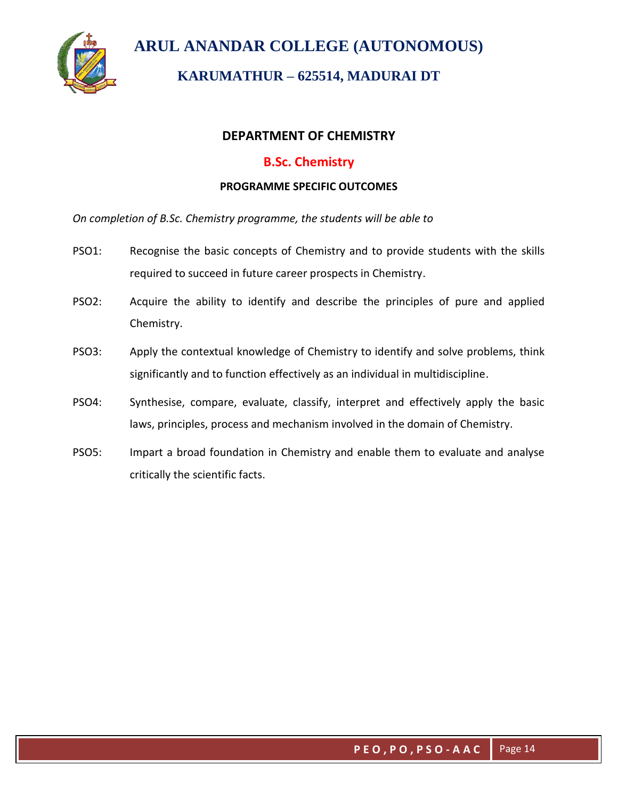

# **KARUMATHUR – 625514, MADURAI DT**

### **DEPARTMENT OF CHEMISTRY**

### **B.Sc. Chemistry**

#### **PROGRAMME SPECIFIC OUTCOMES**

*On completion of B.Sc. Chemistry programme, the students will be able to*

- PSO1: Recognise the basic concepts of Chemistry and to provide students with the skills required to succeed in future career prospects in Chemistry.
- PSO2: Acquire the ability to identify and describe the principles of pure and applied Chemistry.
- PSO3: Apply the contextual knowledge of Chemistry to identify and solve problems, think significantly and to function effectively as an individual in multidiscipline.
- PSO4: Synthesise, compare, evaluate, classify, interpret and effectively apply the basic laws, principles, process and mechanism involved in the domain of Chemistry.
- PSO5: Impart a broad foundation in Chemistry and enable them to evaluate and analyse critically the scientific facts.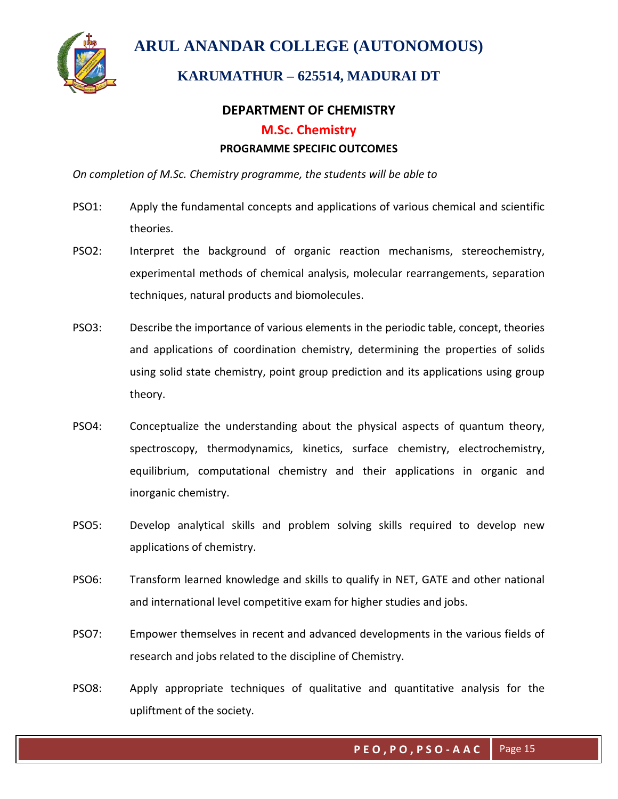

## **KARUMATHUR – 625514, MADURAI DT**

### **DEPARTMENT OF CHEMISTRY**

#### **M.Sc. Chemistry**

#### **PROGRAMME SPECIFIC OUTCOMES**

*On completion of M.Sc. Chemistry programme, the students will be able to*

- PSO1: Apply the fundamental concepts and applications of various chemical and scientific theories.
- PSO2: Interpret the background of organic reaction mechanisms, stereochemistry, experimental methods of chemical analysis, molecular rearrangements, separation techniques, natural products and biomolecules.
- PSO3: Describe the importance of various elements in the periodic table, concept, theories and applications of coordination chemistry, determining the properties of solids using solid state chemistry, point group prediction and its applications using group theory.
- PSO4: Conceptualize the understanding about the physical aspects of quantum theory, spectroscopy, thermodynamics, kinetics, surface chemistry, electrochemistry, equilibrium, computational chemistry and their applications in organic and inorganic chemistry.
- PSO5: Develop analytical skills and problem solving skills required to develop new applications of chemistry.
- PSO6: Transform learned knowledge and skills to qualify in NET, GATE and other national and international level competitive exam for higher studies and jobs.
- PSO7: Empower themselves in recent and advanced developments in the various fields of research and jobs related to the discipline of Chemistry.
- PSO8: Apply appropriate techniques of qualitative and quantitative analysis for the upliftment of the society.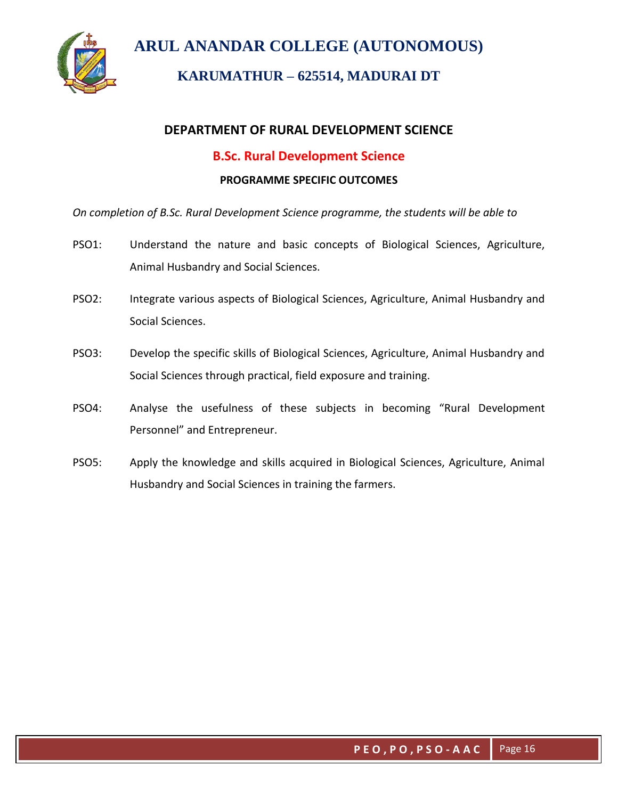

# **KARUMATHUR – 625514, MADURAI DT**

## **DEPARTMENT OF RURAL DEVELOPMENT SCIENCE**

### **B.Sc. Rural Development Science**

#### **PROGRAMME SPECIFIC OUTCOMES**

*On completion of B.Sc. Rural Development Science programme, the students will be able to*

- PSO1: Understand the nature and basic concepts of Biological Sciences, Agriculture, Animal Husbandry and Social Sciences.
- PSO2: Integrate various aspects of Biological Sciences, Agriculture, Animal Husbandry and Social Sciences.
- PSO3: Develop the specific skills of Biological Sciences, Agriculture, Animal Husbandry and Social Sciences through practical, field exposure and training.
- PSO4: Analyse the usefulness of these subjects in becoming "Rural Development Personnel" and Entrepreneur.
- PSO5: Apply the knowledge and skills acquired in Biological Sciences, Agriculture, Animal Husbandry and Social Sciences in training the farmers.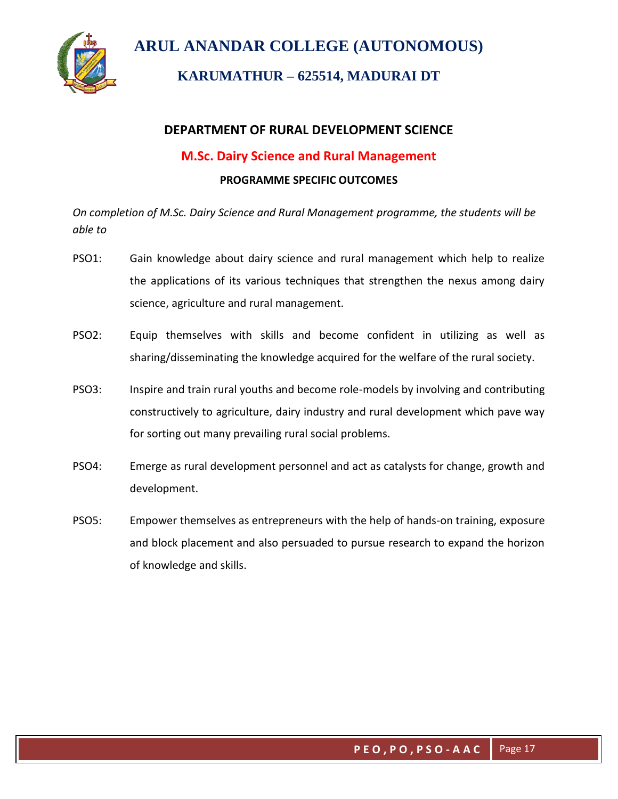

# **KARUMATHUR – 625514, MADURAI DT**

## **DEPARTMENT OF RURAL DEVELOPMENT SCIENCE**

## **M.Sc. Dairy Science and Rural Management**

### **PROGRAMME SPECIFIC OUTCOMES**

*On completion of M.Sc. Dairy Science and Rural Management programme, the students will be able to*

- PSO1: Gain knowledge about dairy science and rural management which help to realize the applications of its various techniques that strengthen the nexus among dairy science, agriculture and rural management.
- PSO2: Equip themselves with skills and become confident in utilizing as well as sharing/disseminating the knowledge acquired for the welfare of the rural society.
- PSO3: Inspire and train rural youths and become role-models by involving and contributing constructively to agriculture, dairy industry and rural development which pave way for sorting out many prevailing rural social problems.
- PSO4: Emerge as rural development personnel and act as catalysts for change, growth and development.
- PSO5: Empower themselves as entrepreneurs with the help of hands-on training, exposure and block placement and also persuaded to pursue research to expand the horizon of knowledge and skills.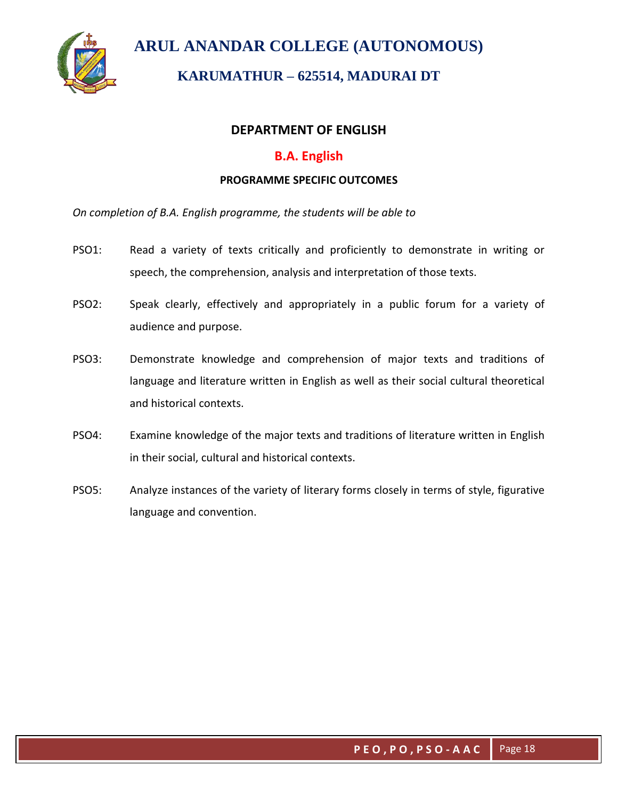

# **KARUMATHUR – 625514, MADURAI DT**

### **DEPARTMENT OF ENGLISH**

### **B.A. English**

#### **PROGRAMME SPECIFIC OUTCOMES**

*On completion of B.A. English programme, the students will be able to*

- PSO1: Read a variety of texts critically and proficiently to demonstrate in writing or speech, the comprehension, analysis and interpretation of those texts.
- PSO2: Speak clearly, effectively and appropriately in a public forum for a variety of audience and purpose.
- PSO3: Demonstrate knowledge and comprehension of major texts and traditions of language and literature written in English as well as their social cultural theoretical and historical contexts.
- PSO4: Examine knowledge of the major texts and traditions of literature written in English in their social, cultural and historical contexts.
- PSO5: Analyze instances of the variety of literary forms closely in terms of style, figurative language and convention.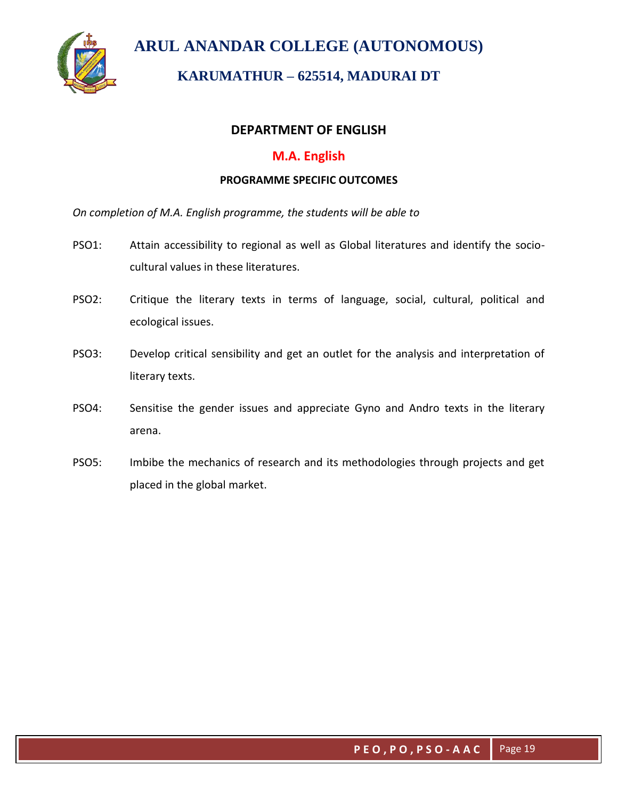

# **KARUMATHUR – 625514, MADURAI DT**

### **DEPARTMENT OF ENGLISH**

### **M.A. English**

#### **PROGRAMME SPECIFIC OUTCOMES**

*On completion of M.A. English programme, the students will be able to*

- PSO1: Attain accessibility to regional as well as Global literatures and identify the sociocultural values in these literatures.
- PSO2: Critique the literary texts in terms of language, social, cultural, political and ecological issues.
- PSO3: Develop critical sensibility and get an outlet for the analysis and interpretation of literary texts.
- PSO4: Sensitise the gender issues and appreciate Gyno and Andro texts in the literary arena.
- PSO5: Imbibe the mechanics of research and its methodologies through projects and get placed in the global market.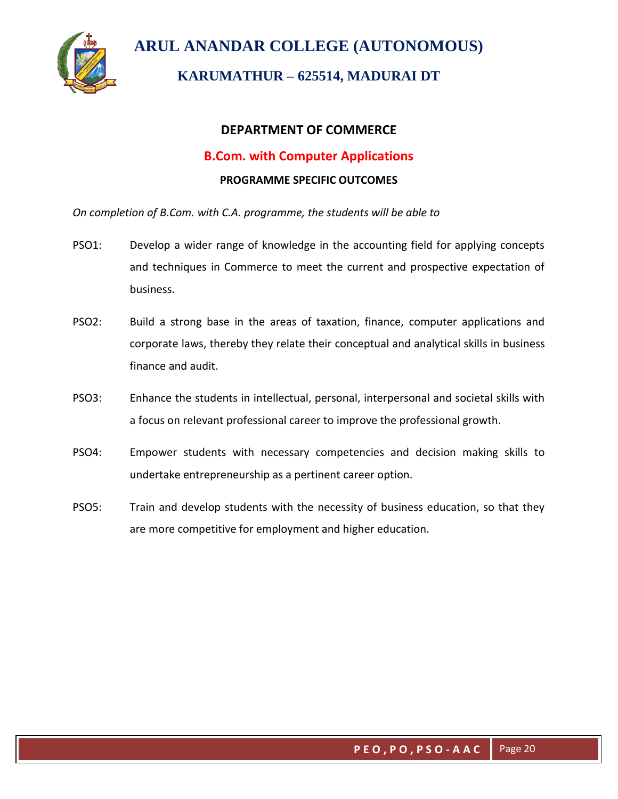

# **KARUMATHUR – 625514, MADURAI DT**

### **DEPARTMENT OF COMMERCE**

### **B.Com. with Computer Applications**

#### **PROGRAMME SPECIFIC OUTCOMES**

*On completion of B.Com. with C.A. programme, the students will be able to*

- PSO1: Develop a wider range of knowledge in the accounting field for applying concepts and techniques in Commerce to meet the current and prospective expectation of business.
- PSO2: Build a strong base in the areas of taxation, finance, computer applications and corporate laws, thereby they relate their conceptual and analytical skills in business finance and audit.
- PSO3: Enhance the students in intellectual, personal, interpersonal and societal skills with a focus on relevant professional career to improve the professional growth.
- PSO4: Empower students with necessary competencies and decision making skills to undertake entrepreneurship as a pertinent career option.
- PSO5: Train and develop students with the necessity of business education, so that they are more competitive for employment and higher education.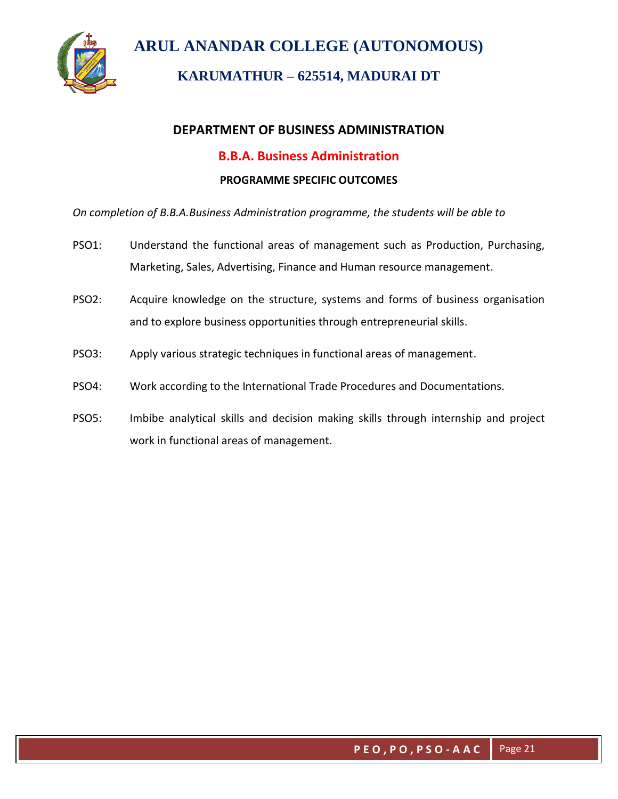

# **KARUMATHUR – 625514, MADURAI DT**

## **DEPARTMENT OF BUSINESS ADMINISTRATION**

## **B.B.A. Business Administration**

### **PROGRAMME SPECIFIC OUTCOMES**

*On completion of B.B.A.Business Administration programme, the students will be able to*

- PSO1: Understand the functional areas of management such as Production, Purchasing, Marketing, Sales, Advertising, Finance and Human resource management.
- PSO2: Acquire knowledge on the structure, systems and forms of business organisation and to explore business opportunities through entrepreneurial skills.
- PSO3: Apply various strategic techniques in functional areas of management.
- PSO4: Work according to the International Trade Procedures and Documentations.
- PSO5: Imbibe analytical skills and decision making skills through internship and project work in functional areas of management.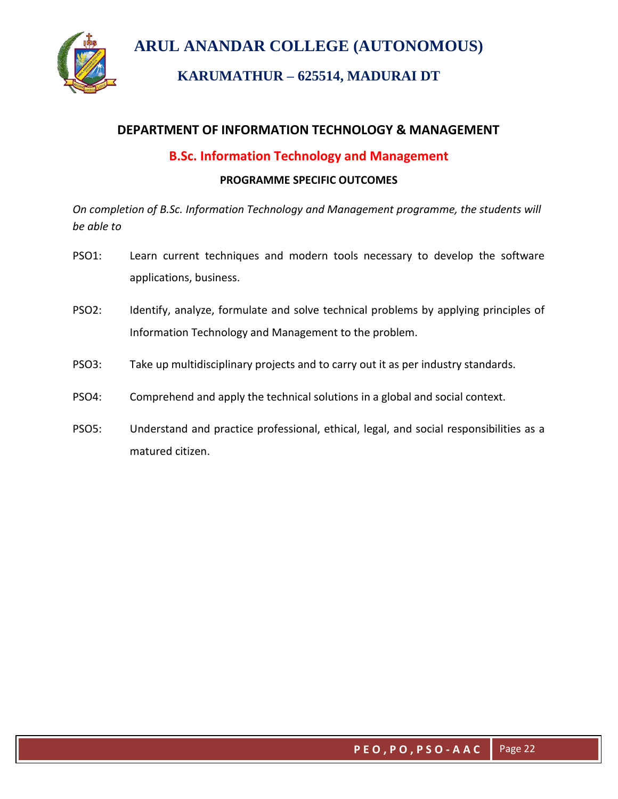

# **KARUMATHUR – 625514, MADURAI DT**

## **DEPARTMENT OF INFORMATION TECHNOLOGY & MANAGEMENT**

## **B.Sc. Information Technology and Management**

#### **PROGRAMME SPECIFIC OUTCOMES**

*On completion of B.Sc. Information Technology and Management programme, the students will be able to*

- PSO1: Learn current techniques and modern tools necessary to develop the software applications, business.
- PSO2: Identify, analyze, formulate and solve technical problems by applying principles of Information Technology and Management to the problem.
- PSO3: Take up multidisciplinary projects and to carry out it as per industry standards.
- PSO4: Comprehend and apply the technical solutions in a global and social context.
- PSO5: Understand and practice professional, ethical, legal, and social responsibilities as a matured citizen.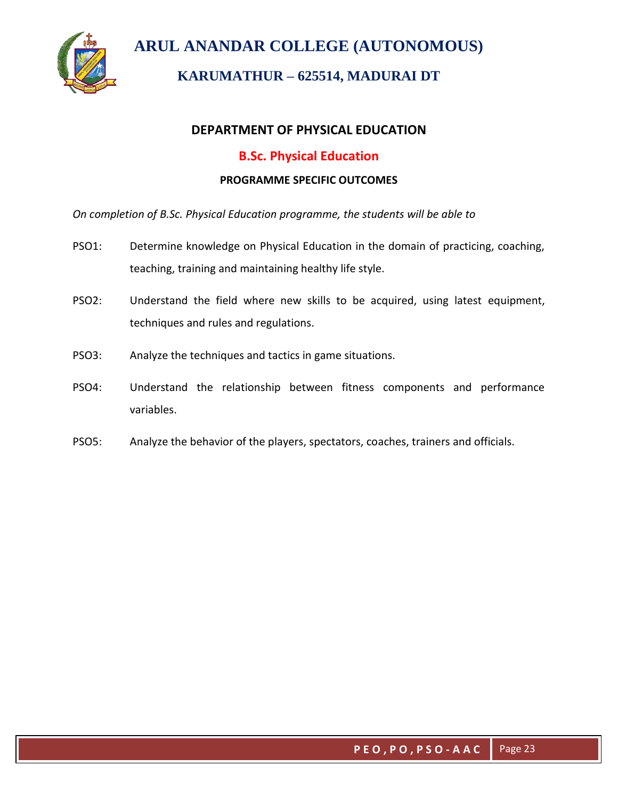

# **KARUMATHUR – 625514, MADURAI DT**

## **DEPARTMENT OF PHYSICAL EDUCATION**

## **B.Sc. Physical Education**

#### **PROGRAMME SPECIFIC OUTCOMES**

*On completion of B.Sc. Physical Education programme, the students will be able to*

- PSO1: Determine knowledge on Physical Education in the domain of practicing, coaching, teaching, training and maintaining healthy life style.
- PSO2: Understand the field where new skills to be acquired, using latest equipment, techniques and rules and regulations.
- PSO3: Analyze the techniques and tactics in game situations.
- PSO4: Understand the relationship between fitness components and performance variables.
- PSO5: Analyze the behavior of the players, spectators, coaches, trainers and officials.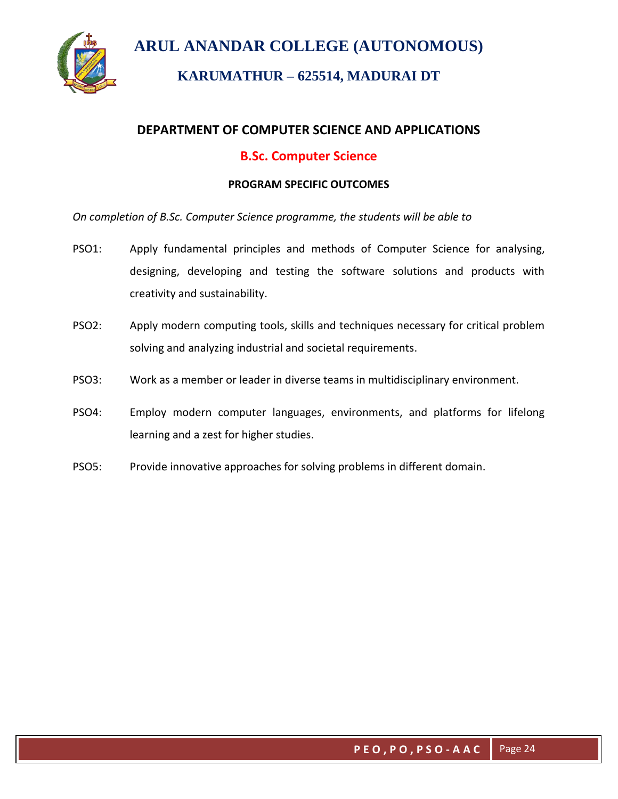



## **KARUMATHUR – 625514, MADURAI DT**

## **DEPARTMENT OF COMPUTER SCIENCE AND APPLICATIONS**

### **B.Sc. Computer Science**

#### **PROGRAM SPECIFIC OUTCOMES**

*On completion of B.Sc. Computer Science programme, the students will be able to*

- PSO1: Apply fundamental principles and methods of Computer Science for analysing, designing, developing and testing the software solutions and products with creativity and sustainability.
- PSO2: Apply modern computing tools, skills and techniques necessary for critical problem solving and analyzing industrial and societal requirements.
- PSO3: Work as a member or leader in diverse teams in multidisciplinary environment.
- PSO4: Employ modern computer languages, environments, and platforms for lifelong learning and a zest for higher studies.
- PSO5: Provide innovative approaches for solving problems in different domain.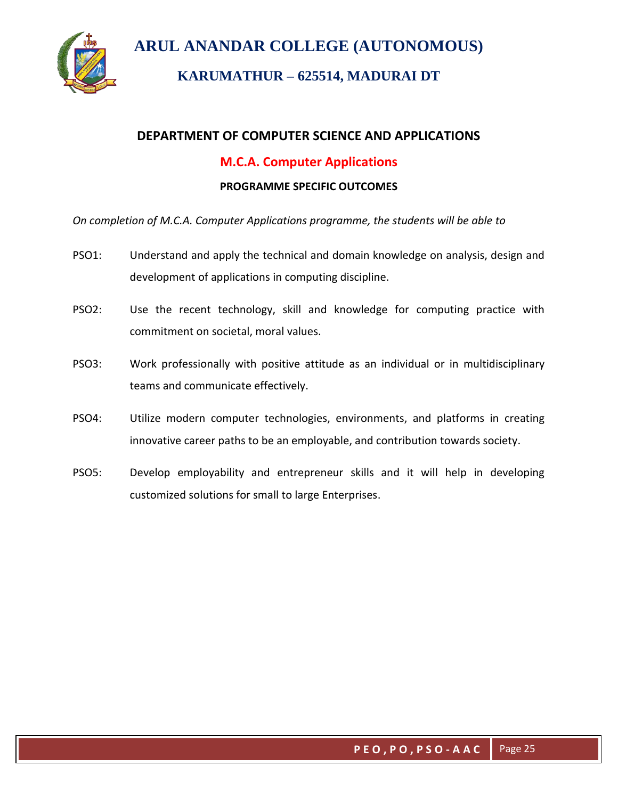

## **KARUMATHUR – 625514, MADURAI DT**

### **DEPARTMENT OF COMPUTER SCIENCE AND APPLICATIONS**

### **M.C.A. Computer Applications**

#### **PROGRAMME SPECIFIC OUTCOMES**

*On completion of M.C.A. Computer Applications programme, the students will be able to*

- PSO1: Understand and apply the technical and domain knowledge on analysis, design and development of applications in computing discipline.
- PSO2: Use the recent technology, skill and knowledge for computing practice with commitment on societal, moral values.
- PSO3: Work professionally with positive attitude as an individual or in multidisciplinary teams and communicate effectively.
- PSO4: Utilize modern computer technologies, environments, and platforms in creating innovative career paths to be an employable, and contribution towards society.
- PSO5: Develop employability and entrepreneur skills and it will help in developing customized solutions for small to large Enterprises.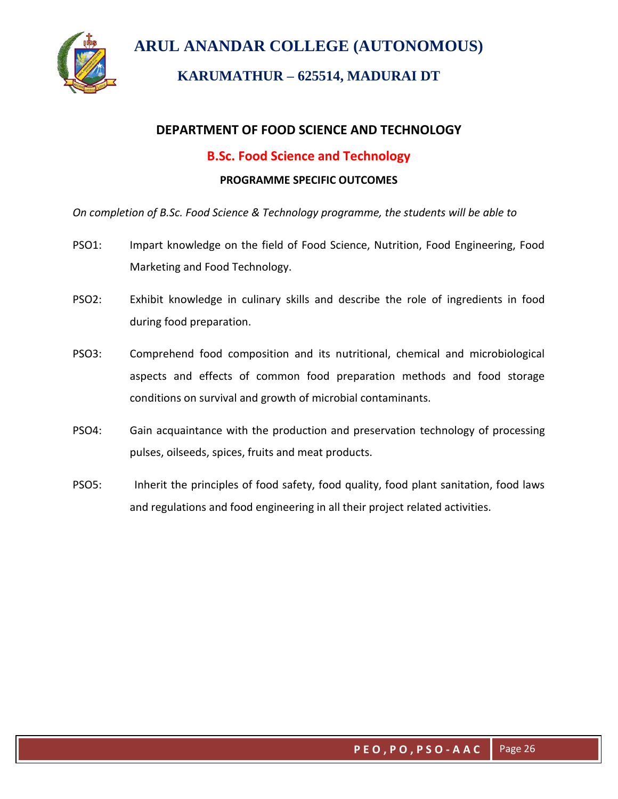

# **KARUMATHUR – 625514, MADURAI DT**

## **DEPARTMENT OF FOOD SCIENCE AND TECHNOLOGY**

## **B.Sc. Food Science and Technology**

#### **PROGRAMME SPECIFIC OUTCOMES**

*On completion of B.Sc. Food Science & Technology programme, the students will be able to*

- PSO1: Impart knowledge on the field of Food Science, Nutrition, Food Engineering, Food Marketing and Food Technology.
- PSO2: Exhibit knowledge in culinary skills and describe the role of ingredients in food during food preparation.
- PSO3: Comprehend food composition and its nutritional, chemical and microbiological aspects and effects of common food preparation methods and food storage conditions on survival and growth of microbial contaminants.
- PSO4: Gain acquaintance with the production and preservation technology of processing pulses, oilseeds, spices, fruits and meat products.
- PSO5: Inherit the principles of food safety, food quality, food plant sanitation, food laws and regulations and food engineering in all their project related activities.